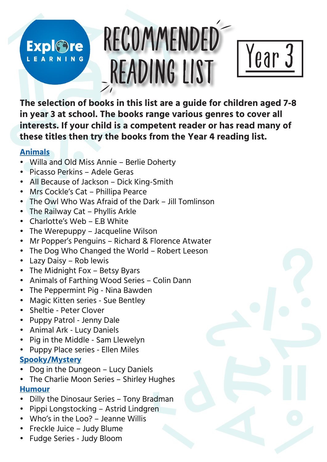## **Expl©re** LEARNING

# RECOMMENDED READING LIST



**The selection of books in this list are a guide for children aged 7-8 in year 3 at school. The books range various genres to cover all interests. If your child is a competent reader or has read many of these titles then try the books from the Year 4 reading list.** 

#### **Animals**

- Willa and Old Miss Annie Berlie Doherty
- Picasso Perkins Adele Geras
- All Because of Jackson Dick King-Smith
- Mrs Cockle's Cat Phillipa Pearce
- The Owl Who Was Afraid of the Dark Jill Tomlinson
- The Railway Cat Phyllis Arkle
- Charlotte's Web E.B White
- The Werepuppy Jacqueline Wilson
- Mr Popper's Penguins Richard & Florence Atwater
- The Dog Who Changed the World Robert Leeson
- Lazy Daisy Rob lewis
- The Midnight Fox Betsy Byars
- Animals of Farthing Wood Series Colin Dann
- The Peppermint Pig Nina Bawden
- Magic Kitten series Sue Bentley
- Sheltie Peter Clover
- Puppy Patrol Jenny Dale
- Animal Ark Lucy Daniels
- Pig in the Middle Sam Llewelyn
- Puppy Place series Ellen Miles

### **Spooky/Mystery**

- Dog in the Dungeon Lucy Daniels
- The Charlie Moon Series Shirley Hughes **Humour**
- Dilly the Dinosaur Series Tony Bradman
- Pippi Longstocking Astrid Lindgren
- Who's in the Loo? Jeanne Willis
- Freckle Juice Judy Blume
- Fudge Series Judy Bloom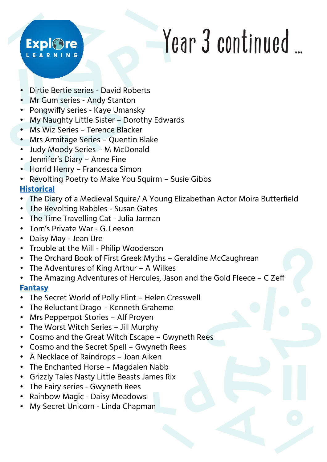### **Expl©re** EARNING

# Year 3 continued ...

- Dirtie Bertie series David Roberts
- Mr Gum series Andy Stanton
- Pongwiffy series Kaye Umansky
- My Naughty Little Sister Dorothy Edwards
- Ms Wiz Series Terence Blacker
- Mrs Armitage Series Quentin Blake
- Judy Moody Series M McDonald
- Jennifer's Diary Anne Fine
- Horrid Henry Francesca Simon
- Revolting Poetry to Make You Squirm Susie Gibbs

#### **Historical**

- The Diary of a Medieval Squire/ A Young Elizabethan Actor Moira Butterfield
- The Revolting Rabbles Susan Gates
- The Time Travelling Cat Julia Jarman
- Tom's Private War G. Leeson
- Daisy May Jean Ure
- Trouble at the Mill Philip Wooderson
- The Orchard Book of First Greek Myths Geraldine McCaughrean
- The Adventures of King Arthur A Wilkes
- The Amazing Adventures of Hercules, Jason and the Gold Fleece C Zeff

#### **Fantasy**

- The Secret World of Polly Flint Helen Cresswell
- The Reluctant Drago Kenneth Graheme
- Mrs Pepperpot Stories Alf Proyen
- The Worst Witch Series Jill Murphy
- Cosmo and the Great Witch Escape Gwyneth Rees
- Cosmo and the Secret Spell Gwyneth Rees
- A Necklace of Raindrops Joan Aiken
- The Enchanted Horse Magdalen Nabb
- Grizzly Tales Nasty Little Beasts James Rix
- The Fairy series Gwyneth Rees
- Rainbow Magic Daisy Meadows
- My Secret Unicorn Linda Chapman